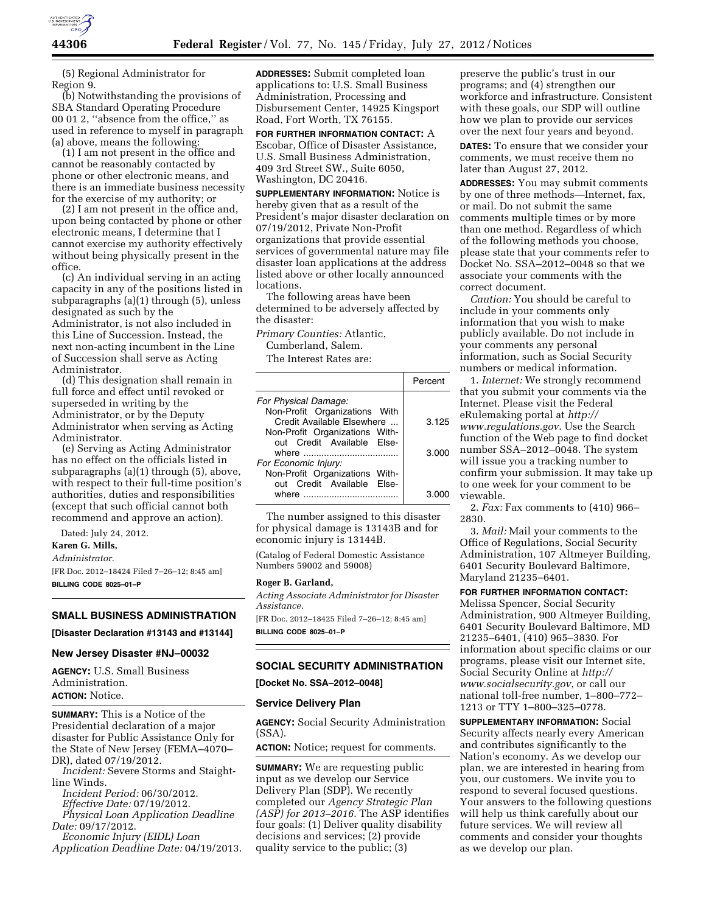

(5) Regional Administrator for Region 9.

(b) Notwithstanding the provisions of SBA Standard Operating Procedure 00 01 2, ''absence from the office,'' as used in reference to myself in paragraph (a) above, means the following:

(1) I am not present in the office and cannot be reasonably contacted by phone or other electronic means, and there is an immediate business necessity for the exercise of my authority; or

(2) I am not present in the office and, upon being contacted by phone or other electronic means, I determine that I cannot exercise my authority effectively without being physically present in the office.

(c) An individual serving in an acting capacity in any of the positions listed in subparagraphs (a)(1) through (5), unless designated as such by the Administrator, is not also included in this Line of Succession. Instead, the next non-acting incumbent in the Line of Succession shall serve as Acting Administrator.

(d) This designation shall remain in full force and effect until revoked or superseded in writing by the Administrator, or by the Deputy Administrator when serving as Acting Administrator.

(e) Serving as Acting Administrator has no effect on the officials listed in subparagraphs (a)(1) through (5), above, with respect to their full-time position's authorities, duties and responsibilities (except that such official cannot both recommend and approve an action).

Dated: July 24, 2012.

**Karen G. Mills,** 

*Administrator.* 

[FR Doc. 2012–18424 Filed 7–26–12; 8:45 am] **BILLING CODE 8025–01–P** 

# **SMALL BUSINESS ADMINISTRATION**

#### **[Disaster Declaration #13143 and #13144]**

### **New Jersey Disaster #NJ–00032**

**AGENCY:** U.S. Small Business Administration. **ACTION:** Notice.

**SUMMARY:** This is a Notice of the Presidential declaration of a major disaster for Public Assistance Only for the State of New Jersey (FEMA–4070– DR), dated 07/19/2012.

*Incident:* Severe Storms and Staightline Winds.

*Incident Period:* 06/30/2012. *Effective Date:* 07/19/2012. *Physical Loan Application Deadline Date:* 09/17/2012.

*Economic Injury (EIDL) Loan Application Deadline Date:* 04/19/2013.

**ADDRESSES:** Submit completed loan applications to: U.S. Small Business Administration, Processing and Disbursement Center, 14925 Kingsport Road, Fort Worth, TX 76155.

**FOR FURTHER INFORMATION CONTACT:** A Escobar, Office of Disaster Assistance, U.S. Small Business Administration, 409 3rd Street SW., Suite 6050, Washington, DC 20416.

**SUPPLEMENTARY INFORMATION:** Notice is hereby given that as a result of the President's major disaster declaration on 07/19/2012, Private Non-Profit organizations that provide essential services of governmental nature may file disaster loan applications at the address listed above or other locally announced locations.

The following areas have been determined to be adversely affected by the disaster:

*Primary Counties:* Atlantic,

Cumberland, Salem.

The Interest Rates are:

|                                                              | Percent |
|--------------------------------------------------------------|---------|
| For Physical Damage:                                         |         |
| Non-Profit Organizations With                                |         |
| Credit Available Elsewhere<br>Non-Profit Organizations With- | 3.125   |
| out Credit Available Else-                                   |         |
|                                                              | 3.000   |
| For Economic Injury:                                         |         |
| Non-Profit Organizations With-                               |         |
| out Credit Available Else-                                   |         |
| where                                                        |         |

The number assigned to this disaster for physical damage is 13143B and for economic injury is 13144B.

(Catalog of Federal Domestic Assistance Numbers 59002 and 59008)

#### **Roger B. Garland,**

*Acting Associate Administrator for Disaster Assistance.* 

[FR Doc. 2012–18425 Filed 7–26–12; 8:45 am] **BILLING CODE 8025–01–P** 

# **SOCIAL SECURITY ADMINISTRATION**

**[Docket No. SSA–2012–0048]** 

### **Service Delivery Plan**

**AGENCY:** Social Security Administration (SSA).

**ACTION:** Notice; request for comments.

**SUMMARY:** We are requesting public input as we develop our Service Delivery Plan (SDP). We recently completed our *Agency Strategic Plan (ASP) for 2013–2016.* The ASP identifies four goals: (1) Deliver quality disability decisions and services; (2) provide quality service to the public; (3)

preserve the public's trust in our programs; and (4) strengthen our workforce and infrastructure. Consistent with these goals, our SDP will outline how we plan to provide our services over the next four years and beyond.

**DATES:** To ensure that we consider your comments, we must receive them no later than August 27, 2012.

**ADDRESSES:** You may submit comments by one of three methods—Internet, fax, or mail. Do not submit the same comments multiple times or by more than one method. Regardless of which of the following methods you choose, please state that your comments refer to Docket No. SSA–2012–0048 so that we associate your comments with the correct document.

*Caution:* You should be careful to include in your comments only information that you wish to make publicly available. Do not include in your comments any personal information, such as Social Security numbers or medical information.

1. *Internet:* We strongly recommend that you submit your comments via the Internet. Please visit the Federal eRulemaking portal at *[http://](http://www.regulations.gov)  [www.regulations.gov](http://www.regulations.gov)*. Use the Search function of the Web page to find docket number SSA–2012–0048. The system will issue you a tracking number to confirm your submission. It may take up to one week for your comment to be viewable.

2. *Fax:* Fax comments to (410) 966– 2830.

3. *Mail:* Mail your comments to the Office of Regulations, Social Security Administration, 107 Altmeyer Building, 6401 Security Boulevard Baltimore, Maryland 21235–6401.

**FOR FURTHER INFORMATION CONTACT:** 

Melissa Spencer, Social Security Administration, 900 Altmeyer Building, 6401 Security Boulevard Baltimore, MD 21235–6401, (410) 965–3830. For information about specific claims or our programs, please visit our Internet site, Social Security Online at *[http://](http://www.socialsecurity.gov) [www.socialsecurity.gov](http://www.socialsecurity.gov)*, or call our national toll-free number, 1–800–772– 1213 or TTY 1–800–325–0778.

**SUPPLEMENTARY INFORMATION:** Social Security affects nearly every American and contributes significantly to the Nation's economy. As we develop our plan, we are interested in hearing from you, our customers. We invite you to respond to several focused questions. Your answers to the following questions will help us think carefully about our future services. We will review all comments and consider your thoughts as we develop our plan.